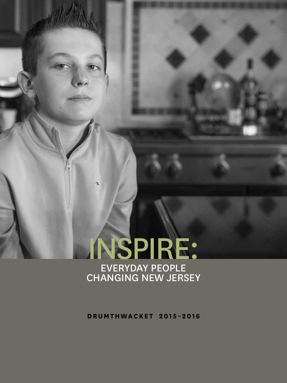

**drumthwacket 2015–2016**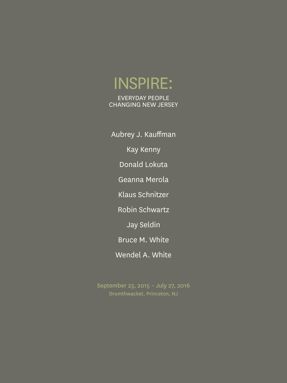# Inspire:

EVERYDAY PEOPLE Changing New Jersey

Aubrey J. Kauffman Kay Kenny Donald Lokuta Geanna Merola Klaus Schnitzer Robin Schwartz Jay Seldin Bruce M. White Wendel A. White

September 23, 2015 – July 27, 2016 Drumthwacket, Princeton, NJ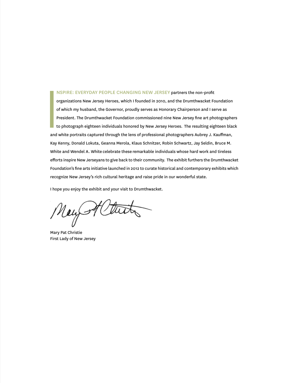nspire: Everyday People Changing New Jersey partners the non-profit organizations New Jersey Heroes, which I founded in 2010, and the Drumthwacket Foundation of which my husband, the Governor, proudly serves as Honorary Chairperson and I serve as President. The Drumthwacket Foundation commissioned nine New Jersey fine art photographers to photograph eighteen individuals honored by New Jersey Heroes. The resulting eighteen black and white portraits captured through the lens of professional photographers Aubrey J. Kauffman, Kay Kenny, Donald Lokuta, Geanna Merola, Klaus Schnitzer, Robin Schwartz, Jay Seldin, Bruce M. White and Wendel A. White celebrate these remarkable individuals whose hard work and tireless efforts inspire New Jerseyans to give back to their community. The exhibit furthers the Drumthwacket Foundation's fine arts initiative launched in 2012 to curate historical and contemporary exhibits which recognize New Jersey's rich cultural heritage and raise pride in our wonderful state.

I hope you enjoy the exhibit and your visit to Drumthwacket.

New Alturty

Mary Pat Christie First Lady of New Jersey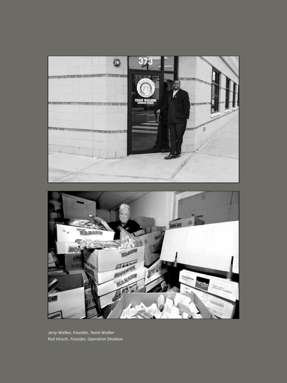



*Jerry Walker, Founder, Team Walker Rod Hirsch, Founder, Operation Shoebox*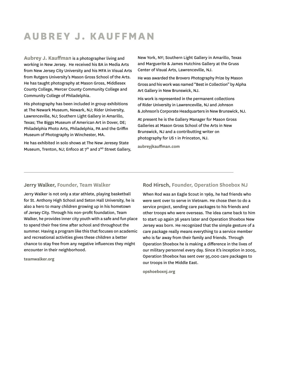### **aubrey J. kauffman**

**Aubrey J. Kauffman** is a photographer living and working in New Jersey. He received his BA in Media Arts from New Jersey City University and his MFA in Visual Arts from Rutgers University's Mason Gross School of the Arts. He has taught photography at Mason Gross, Middlesex County College, Mercer County Community College and Community College of Philadelphia.

His photography has been included in group exhibitions at The Newark Museum, Newark, NJ; Rider University, Lawrenceville, NJ; Southern Light Gallery in Amarillo, Texas; The Biggs Museum of American Art in Dover, DE; Philadelphia Photo Arts, Philadelphia, PA and the Griffin Museum of Photography in Winchester, MA.

He has exhibited in solo shows at The New Jeresey State Museum, Trenton, NJ; Enfoco at  $7<sup>th</sup>$  and  $2<sup>ND</sup>$  Street Gallery,

New York, NY; Southern Light Gallery in Amarillo, Texas and Marguerite & James Hutchins Gallery at the Gruss Center of Visual Arts, Lawrenceville, NJ.

He was awarded the Brovero Photography Prize by Mason Gross and his work was named "Best in Collection" by Alpha Art Gallery in New Brunswick, NJ.

His work is represented in the permanent collections of Rider University in Lawrenceville, NJ and Johnson & Johnson's Corporate Headquarters in New Brunswick, NJ.

At present he is the Gallery Manager for Mason Gross Galleries at Mason Gross School of the Arts in New Brunswick, NJ and a contributting writer on photography for US 1 in Princeton, NJ.

**aubreyjkauffman.com**

#### **Jerry Walker, Founder, Team Walker**

Jerry Walker is not only a star athlete, playing basketball for St. Anthony High School and Seton Hall University, he is also a hero to many children growing up in his hometown of Jersey City. Through his non-profit foundation, Team Walker, he provides inner city youth with a safe and fun place to spend their free time after school and throughout the summer. Having a program like this that focuses on academic and recreational activities gives these children a better chance to stay free from any negative influences they might encounter in their neighborhood.

**teamwalker.org**

#### **Rod Hirsch, Founder, Operation Shoebox NJ**

When Rod was an Eagle Scout in 1969, he had friends who were sent over to serve in Vietnam. He chose then to do a service project, sending care packages to his friends and other troops who were overseas. The idea came back to him to start up again 36 years later and Operation Shoebox New Jersey was born. He recognized that the simple gesture of a care package really means everything to a service member who is far away from their family and friends. Through Operation Shoebox he is making a difference in the lives of our military personnel every day. Since it's inception in 2005, Operation Shoebox has sent over 95,000 care packages to our troops in the Middle East.

**opshoeboxnj.org**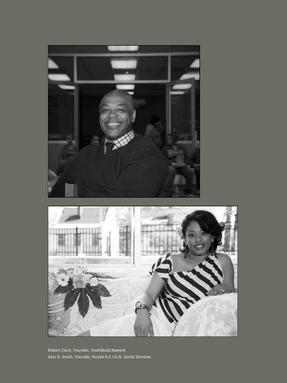



*Robert Clark, Founder, YouthBuild Newark Asia D. Smith, Founder, Purple R.E.I.G.N. Social Services*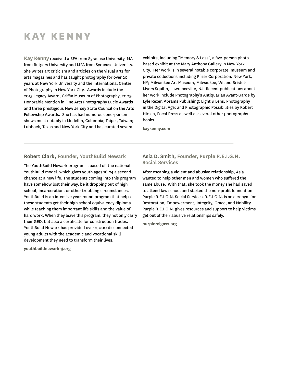## **kay kenny**

**Kay Kenny** received a BFA from Syracuse University, MA from Rutgers University and MFA from Syracuse University. She writes art criticism and articles on the visual arts for arts magazines and has taught photography for over 20 years at New York University and the International Center of Photography in New York City. Awards include the 2015 Legacy Award, Griffin Museum of Photography, 2009 Honorable Mention in Fine Arts Photography Lucie Awards and three prestigious New Jersey State Council on the Arts Fellowship Awards. She has had numerous one-person shows most notably in Medellin, Columbia; Taipei, Taiwan; Lubbock, Texas and New York City and has curated several

exhibits, including "Memory & Loss", a five-person photobased exhibit at the Mary Anthony Gallery in New York City. Her work is in several notable corporate, museum and private collections including Pfizer Corporation, New York, NY; Milwaukee Art Museum, Milwaukee, WI and Bristol-Myers Squibb, Lawrenceville, NJ. Recent publications about her work include Photography's Antiquarian Avant-Garde by Lyle Rexer, Abrams Publishing; Light & Lens, Photography in the Digital Age; and Photographic Possibilities by Robert Hirsch, Focal Press as well as several other photography books.

**kaykenny.com**

#### **Robert Clark, Founder, YouthBuild Newark**

The YouthBuild Newark program is based off the national YouthBuild model, which gives youth ages 16-24 a second chance at a new life. The students coming into this program have somehow lost their way, be it dropping out of high school, incarceration, or other troubling circumstances. YouthBuild is an intensive year-round program that helps these students get their high school equivalency diploma while teaching them important life skills and the value of hard work. When they leave this program, they not only carry their GED, but also a certificate for construction trades. YouthBuild Newark has provided over 2,000 disconnected young adults with the academic and vocational skill development they need to transform their lives.

**youthbuildnewarknj.org**

#### **Asia D. Smith, Founder, Purple R.E.I.G.N. Social Services**

After escaping a violent and abusive relationship, Asia wanted to help other men and women who suffered the same abuse. With that, she took the money she had saved to attend law school and started the non-profit foundation Purple R.E.I.G.N. Social Services. R.E.I.G.N. is an acronym for Restoration, Empowerment, Integrity, Grace, and Nobility. Purple R.E.I.G.N. gives resources and support to help victims get out of their abusive relationships safely.

**purplereignss.org**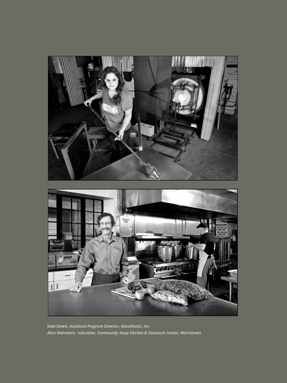

*Kate Dowd, Assistant Program Director, GlassRoots, Inc. Alan Weinstein, Volunteer, Community Soup Kitchen & Outreach Center, Morristown*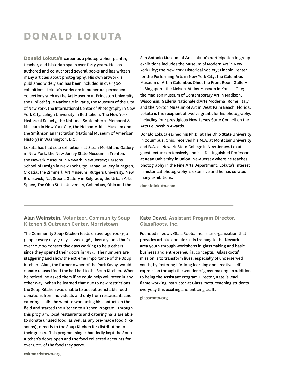### **donald lokuta**

**Donald Lokuta's** career as a photographer, painter, teacher, and historian spans over forty years. He has authored and co-authored several books and has written many articles about photography. His own artwork is published widely and has been included in over 300 exhibitions. Lokuta's works are in numerous permanent collections such as the Art Museum at Princeton University, the Bibliothèque Nationale in Paris, the Museum of the City of New York, the International Center of Photography in New York City, Lehigh University in Bethlehem, The New York Historical Society, the National September 11 Memorial & Museum in New York City, the Nelson-Atkins Museum and the Smithsonian Institution (National Museum of American History) in Washington, D.C.

Lokuta has had solo exhibitions at Sarah Morthland Gallery in New York; the New Jersey State Museum in Trenton; the Newark Museum in Newark, New Jersey; Parsons School of Design in New York City; Dabac Gallery in Zagreb, Croatia; the Zimmerli Art Museum. Rutgers University, New Brunswick, NJ; Srecna Gallery in Belgrade; the Urban Arts Space, The Ohio State University, Columbus, Ohio and the

San Antonio Museum of Art. Lokuta's participation in group exhibitions includes the Museum of Modern Art in New York City; the New York Historical Society; Lincoln Center for the Performing Arts in New York City; the Columbus Museum of Art in Columbus Ohio; the Front Room Gallery in Singapore; the Nelson-Atkins Museum in Kansas City; the Madison Museum of Contemporary Art in Madison, Wisconsin; Galleria Nationale d'Arte Moderna, Rome, Italy and the Norton Museum of Art in West Palm Beach, Florida. Lokuta is the recipient of twelve grants for his photography, including four prestigious New Jersey State Council on the Arts Fellowship Awards.

Donald Lokuta earned his Ph.D. at The Ohio State University in Columbus, Ohio, received his M.A. at Montclair University and B.A. at Newark State College in New Jersey. Lokuta guest lectures extensively and is a Distinguished Professor at Kean University in Union, New Jersey where he teaches photography in the Fine Arts Department. Lokuta's interest in historical photography is extensive and he has curated many exhibitions.

**donaldlokuta.com**

#### **Alan Weinstein, Volunteer, Community Soup Kitchen & Outreach Center, Morristown**

The Community Soup Kitchen feeds on average 100-350 people every day, 7 days a week, 365 days a year… that's over 10,000 consecutive days working to help others since they opened their doors in 1984. The numbers are staggering and show the extreme importance of the Soup Kitchen. Alan, the former owner of the Park Savoy, would donate unused food the hall had to the Soup Kitchen. When he retired, he asked them if he could help volunteer in any other way. When he learned that due to new restrictions, the Soup Kitchen was unable to accept perishable food donations from individuals and only from restaurants and caterings halls, he went to work using his contacts in the field and started the Kitchen to Kitchen Program. Through this program, local restaurants and catering halls are able to donate unused food, as well as any pre-made food (like soups), directly to the Soup Kitchen for distribution to their guests. This program single-handedly kept the Soup Kitchen's doors open and the food collected accounts for over 60% of the food they serve.

#### **Kate Dowd, Assistant Program Director, GlassRoots, Inc.**

Founded in 2001, GlassRoots, Inc. is an organization that provides artistic and life skills training to the Newark area youth through workshops in glassmaking and basic business and entrepreneurial concepts. GlassRoots' mission is to transform lives, especially of underserved youth, by fostering life-long learning and creative selfexpression through the wonder of glass-making. In addition to being the Assistant Program Director, Kate is lead flame working instructor at GlassRoots, teaching students everyday this exciting and enticing craft.

**glassroots.org**

**cskmorristown.org**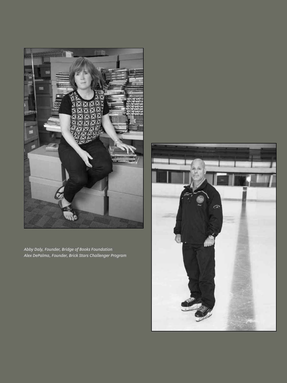

*Abby Daly, Founder, Bridge of Books Foundation Alex DePalma, Founder, Brick Stars Challenger Program*

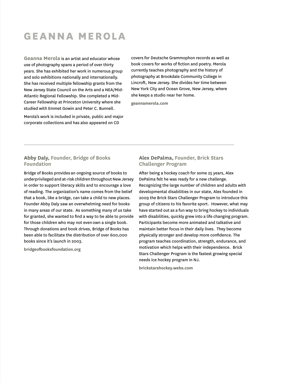### **geanna merola**

**Geanna Merola** is an artist and educator whose use of photography spans a period of over thirty years. She has exhibited her work in numerous group and solo exhibitions nationally and internationally. She has received multiple fellowship grants from the New Jersey State Council on the Arts and a NEA/Mid-Atlantic Regional Fellowship. She completed a Mid-Career Fellowship at Princeton University where she studied with Emmet Gowin and Peter C. Bunnell.

Merola's work is included in private, public and major corporate collections and has also appeared on CD

covers for Deutsche Grammophon records as well as book covers for works of fiction and poetry. Merola currently teaches photography and the history of photography at Brookdale Community College in Lincroft, New Jersey. She divides her time between New York City and Ocean Grove, New Jersey, where she keeps a studio near her home.

**geannamerola.com**

#### **Abby Daly, Founder, Bridge of Books Foundation**

Bridge of Books provides an ongoing source of books to underprivileged and at-risk children throughout New Jersey in order to support literacy skills and to encourage a love of reading. The organization's name comes from the belief that a book, like a bridge, can take a child to new places. Founder Abby Daly saw an overwhelming need for books in many areas of our state. As something many of us take for granted, she wanted to find a way to be able to provide for those children who may not even own a single book. Through donations and book drives, Bridge of Books has been able to facilitate the distribution of over 600,000 books since it's launch in 2003.

**bridgeofbooksfoundation.org**

#### **Alex DePalma, Founder, Brick Stars Challenger Program**

After being a hockey coach for some 25 years, Alex DePalma felt he was ready for a new challenge. Recognizing the large number of children and adults with developmental disabilities in our state, Alex founded in 2009 the Brick Stars Challenger Program to introduce this group of citizens to his favorite sport. However, what may have started out as a fun way to bring hockey to individuals with disabilities, quickly grew into a life changing program. Participants become more animated and talkative and maintain better focus in their daily lives. They become physically stronger and develop more confidence. The program teaches coordination, strength, endurance, and motivation which helps with their independence. Brick Stars Challenger Program is the fastest growing special needs ice hockey program in NJ.

**brickstarshockey.webs.com**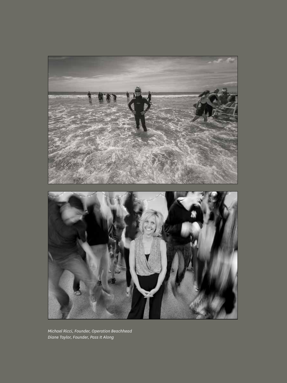

*Michael Ricci, Founder, Operation Beachhead Diane Taylor, Founder, Pass It Along*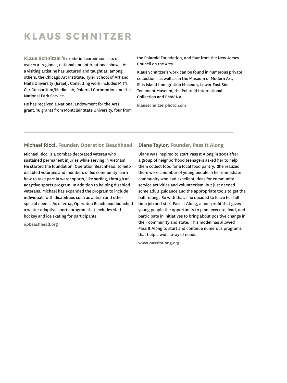## **klaus schnitzer**

**Klaus Schnitzer's** exhibition career consists of over 200 regional, national and international shows. As a visiting artist he has lectured and taught at, among others, the Chicago Art Institute, Tyler School of Art and Haifa University (Israel). Consulting work includes MIT's Car Consortium/Media Lab, Polaroid Corporation and the National Park Service.

He has received a National Endowment for the Arts grant, 16 grants from Montclair State University, four from the Polaroid Foundation, and four from the New Jersey Council on the Arts.

Klaus Schnitzer's work can be found in numerous private collections as well as in the Museum of Modern Art, Ellis Island Immigration Museum, Lower East Side Tenement Museum, the Polaroid International Collection and BMW NA.

**klausschnitzerphoto.com**

#### **Michael Ricci, Founder, Operation Beachhead**

Michael Ricci is a combat-decorated veteran who sustained permanent injuries while serving in Vietnam. He started the foundation, Operation Beachhead, to help disabled veterans and members of his community learn how to take part in water sports, like surfing, through an adaptive sports program. In addition to helping disabled veterans, Michael has expanded the program to include individuals with disabilities such as autism and other special needs. As of 2014, Operation Beachhead launched a winter adaptive sports program that includes sled hockey and ice skating for participants.

**opbeachhead.org**

#### **Diane Taylor, Founder, Pass It Along**

Diane was inspired to start Pass It Along in 2001 after a group of neighborhood teenagers asked her to help them collect food for a local food pantry. She realized there were a number of young people in her immediate community who had excellent ideas for community service activities and volunteerism, but just needed some adult guidance and the appropriate tools to get the ball rolling. So with that, she decided to leave her full time job and start Pass It Along, a non-profit that gives young people the opportunity to plan, execute, lead, and participate in initiatives to bring about positive change in their community and state. This model has allowed Pass It Along to start and continue numerous programs that help a wide array of needs.

**www.passitalong.org**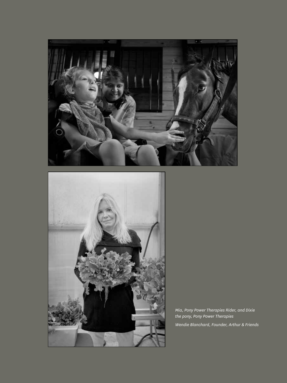



*Mia, Pony Power Therapies Rider, and Dixie the pony, Pony Power Therapies Wendie Blanchard, Founder, Arthur & Friends*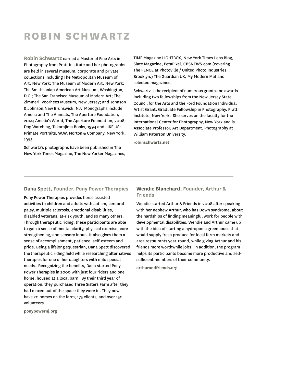### **Robin schwartz**

**Robin Schwartz** earned a Master of Fine Arts in Photography from Pratt Institute and her photographs are held in several museum, corporate and private collections including The Metropolitan Museum of Art, New York; The Museum of Modern Art, New York; The Smithsonian American Art Museum, Washington, D.C.; The San Francisco Museum of Modern Art; The Zimmerli Voorhees Museum, New Jersey; and Johnson & Johnson,New Brunswick, NJ. Monographs include Amelia and The Animals, The Aperture Foundation, 2014; Amelia's World, The Aperture Foundation, 2008; Dog Watching, Takarajima Books, 1994 and LIKE US: Primate Portraits, W.W. Norton & Company, New York, 1993.

Schwartz's photographs have been published in The New York Times Magazine, The New Yorker Magazines, TIME Magazine LIGHTBOX, New York Times Lens Blog, Slate Magazine, PetaPixel, CBSNEWS.com (covering The FENCE at Photoville / United Photo Industries, Brooklyn,) The Guardian UK, My Modern Met and selected magazines.

Schwartz is the recipient of numerous grants and awards including two fellowships from the New Jersey State Council for the Arts and the Ford Foundation Individual Artist Grant, Graduate Fellowship in Photography, Pratt Institute, New York. She serves on the faculty for the International Center for Photography, New York and is Associate Professor, Art Department, Photography at William Paterson University.

**robinschwartz.net**

#### **Dana Spett, Founder, Pony Power Therapies**

Pony Power Therapies provides horse assisted activities to children and adults with autism, cerebral palsy, multiple sclerosis, emotional disabilities, disabled veterans, at-risk youth, and so many others. Through therapeutic riding, these participants are able to gain a sense of mental clarity, physical exercise, core strengthening, and sensory input. It also gives them a sense of accomplishment, patience, self-esteem and pride. Being a lifelong equestrian, Dana Spett discovered the therapeutic riding field while researching alternatives therapies for one of her daughters with mild special needs. Recognizing the benefits, Dana started Pony Power Therapies in 2000 with just four riders and one horse, housed at a local barn. By their third year of operation, they purchased Three Sisters Farm after they had maxed out of the space they were in. They now have 20 horses on the farm, 175 clients, and over 150 volunteers.

**ponypowernj.org**

#### **Wendie Blanchard, Founder, Arthur & Friends**

Wendie started Arthur & Friends in 2008 after speaking with her nephew Arthur, who has Down syndrome, about the hardships of finding meaningful work for people with developmental disabilities. Wendie and Arthur came up with the idea of starting a hydroponic greenhouse that would supply fresh produce for local farm markets and area restaurants year-round, while giving Arthur and his friends more worthwhile jobs. In addition, the program helps its participants become more productive and selfsufficient members of their community.

**arthurandfriends.org**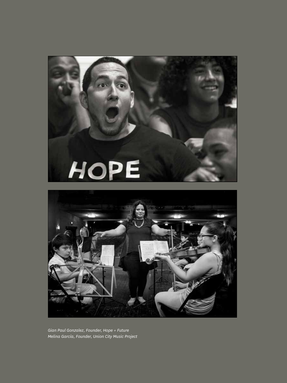



*Gian Paul Gonzalez, Founder, Hope + Future Melina García, Founder, Union City Music Project*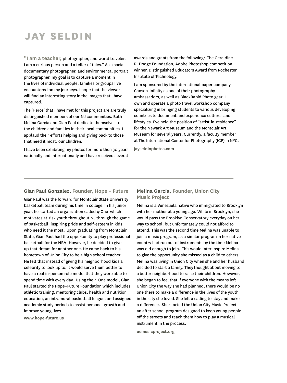## **jay seldin**

**"I am a teacher,** photographer, and world traveler. I am a curious person and a teller of tales." As a social documentary photographer, and environmental portrait photographer, my goal is to capture a moment in the lives of individual people, families or groups I've encountered on my journeys. I hope that the viewer will find an interesting story in the images that I have captured.

The 'Heros' that I have met for this project are are truly distinguished members of our NJ communities. Both Melina Garcia and Gian Paul dedicate themselves to the children and families in their local communities. I applaud their efforts helping and giving back to those that need it most, our children.

I have been exhibiting my photos for more then 30 years nationally and internationally and have received several

awards and grants from the following: The Geraldine R. Dodge Foundation, Adobe Photoshop competition winner, Distinguished Educators Award from Rochester Institute of Technology.

I am sponsored by the international paper company Canson-Infinity as one of their photography ambassadors, as well as BlackRapid Photo gear. I own and operate a photo travel workshop company specializing in bringing students to various developing countries to document and experience cultures and lifestyles. I've held the position of "artist-in-residence" for the Newark Art Museum and the Montclair Art Museum for several years. Currently, a faculty member at The International Center for Photography (ICP) in NYC.

**jayseldinphotos.com**

#### **Gian Paul Gonzalez, Founder, Hope + Future**

Gian Paul was the forward for Montclair State University basketball team during his time in college. In his junior year, he started an organization called 4-One which motivates at-risk youth throughout NJ through the game of basketball, inspiring pride and self-esteem in kids who need it the most. Upon graduating from Montclair State, Gian Paul had the opportunity to play professional basketball for the NBA. However, he decided to give up that dream for another one. He came back to his hometown of Union City to be a high school teacher. He felt that instead of giving his neighborhood kids a celebrity to look up to, it would serve them better to have a real in-person role model that they were able to spend time with every day. Using the 4-One model, Gian Paul started the Hope+Future Foundation which includes athletic training, mentoring clubs, health and nutrition education, an intramural basketball league, and assigned academic study periods to assist personal growth and improve young lives.

**www.hope-future.us**

#### **Melina García, Founder, Union City Music Project**

Melina is a Venezuela native who immigrated to Brooklyn with her mother at a young age. While in Brooklyn, she would pass the Brooklyn Conservatory everyday on her way to school, but unfortunately could not afford to attend. This was the second time Melina was unable to join a music program, as a similar program in her native country had run out of instruments by the time Melina was old enough to join. This would later inspire Melina to give the opportunity she missed as a child to others. Melina was living in Union City when she and her husband decided to start a family. They thought about moving to a better neighborhood to raise their children. However, she began to feel that if everyone with the means left Union City the way she had planned, there would be no one there to make a difference in the lives of the youth in the city she loved. She felt a calling to stay and make a difference. She started the Union City Music Project – an after school program designed to keep young people off the streets and teach them how to play a musical instrument in the process.

**ucmusicproject.org**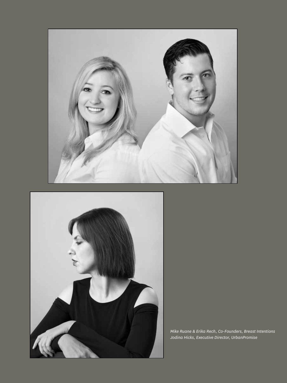



*Mike Ruane & Erika Rech, Co-Founders, Breast Intentions Jodina Hicks, Executive Director, UrbanPromise*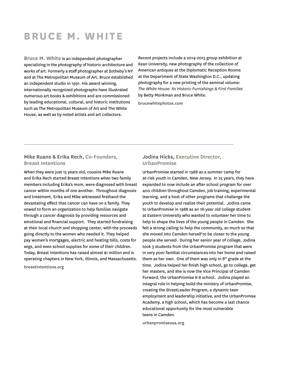### **bruce M. white**

**Bruce M. White** is an independent photographer specializing in the photography of historic architecture and works of art. Formerly a staff photographer at Sotheby's NY and at The Metropolitan Museum of Art, Bruce established an independent studio in 1991. His award winning, internationally recognized photographs have illustrated numerous art books & exhibitions and are commissioned by leading educational, cultural, and historic institutions such as The Metropolitan Museum of Art and The White House, as well as by noted artists and art collectors.

Recent projects include a 2014-2015 group exhibition at Kean University, new photography of the collection of American antiques at the Diplomatic Reception Rooms at the Department of State Washington D.C., updating photography for a new printing of the seminal volume: *The White House: Its Historic Furnishings & First Families* by Betty Monkman and Bruce White.

**brucewhitephotos.com**

#### **Mike Ruane & Erika Rech, Co-Founders, Breast Intentions**

When they were just 15 years old, cousins Mike Ruane and Erika Rech started Breast Intentions when two family members including Erika's mom, were diagnosed with breast cancer within months of one another. Throughout diagnosis and treatment, Erika and Mike witnessed firsthand the devastating effect that cancer can have on a family. They vowed to form an organization to help families navigate through a cancer diagnosis by providing resources and emotional and financial support. They started fundraising at their local church and shopping center, with the proceeds going directly to the women who needed it. They helped pay women's mortgages, electric and heating bills, costs for wigs, and even school supplies for some of their children. Today, Breast Intentions has raised almost \$1 million and is operating chapters in New York, Illinois, and Massachusetts.

**breastintentions.org**

#### **Jodina Hicks, Executive Director, UrbanPromise**

UrbanPromise started in 1988 as a summer camp for at-risk youth in Camden, New Jersey. In 25 years, they have expanded to now include an after school program for over 400 children throughout Camden, job training, experimental learning, and a host of other programs that challenge the youth to develop and realize their potential. Jodina came to UrbanPromise in 1988 as an 18-year old college student at Eastern University who wanted to volunteer her time to help to shape the lives of the young people in Camden. She felt a strong calling to help the community, so much so that she moved into Camden herself to be closer to the young people she served. During her senior year of college, Jodina took 3 students from the UrbanPromise program that were in very poor familial circumstances into her home and raised them as her own. One of them was only in  $8<sup>th</sup>$  grade at the time. Jodina helped her finish high school, go to college, get her masters, and she is now the Vice Principal of Camden Forward, the UrbanPromise K-8 school. Jodina played an integral role in helping build the ministry of UrbanPromise, creating the StreetLeader Program, a dynamic teen employment and leadership initiative, and the UrbanPromise Academy, a high school, which has become a last chance educational opportunity for the most vulnerable teens in Camden.

**urbanpromiseusa.org**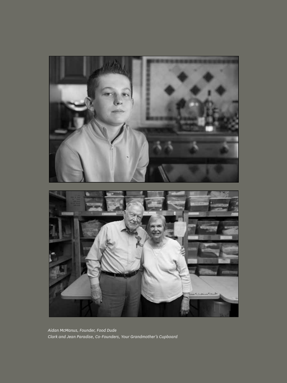

*Aidan McManus, Founder, Food Dude Clark and Jean Paradise, Co-Founders, Your Grandmother's Cupboard*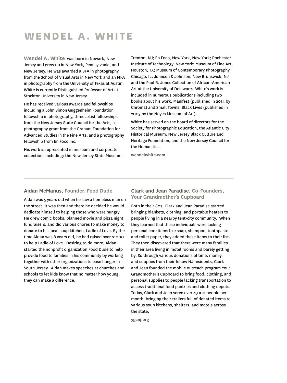### **wendel A. white**

**Wendel A. White** was born in Newark, New Jersey and grew up in New York, Pennsylvania, and New Jersey. He was awarded a BFA in photography from the School of Visual Arts in New York and an MFA in photography from the University of Texas at Austin. White is currently Distinguished Professor of Art at Stockton University in New Jersey.

He has received various awards and fellowships including a John Simon Guggenheim Foundation fellowship in photography, three artist fellowships from the New Jersey State Council for the Arts, a photography grant from the Graham Foundation for Advanced Studies in the Fine Arts, and a photography fellowship from En Foco Inc.

His work is represented in museum and corporate collections including: the New Jersey State Museum, Trenton, NJ; En Foco, New York, New York; Rochester Institute of Technology, New York; Museum of Fine Art, Houston, TX; Museum of Contemporary Photography, Chicago, IL; Johnson & Johnson, New Brunswick, NJ and the Paul R. Jones Collection of African-American Art at the University of Delaware. White's work is included in numerous publications including two books about his work, Manifest (published in 2014 by Chroma) and Small Towns, Black Lives (published in 2003 by the Noyes Museum of Art).

White has served on the board of directors for the Society for Photographic Education, the Atlantic City Historical Museum, New Jersey Black Culture and Heritage Foundation, and the New Jersey Council for the Humanities.

**wendelwhite.com**

#### **Aidan McManus, Founder, Food Dude**

Aidan was 5 years old when he saw a homeless man on the street. It was then and there he decided he would dedicate himself to helping those who were hungry. He drew comic books, planned movie and pizza night fundraisers, and did various chores to make money to donate to his local soup kitchen, Ladle of Love. By the time Aidan was 8 years old, he had raised over \$1000 to help Ladle of Love. Desiring to do more, Aidan started the nonprofit organization Food Dude to help provide food to families in his community by working together with other organizations to ease hunger in South Jersey. Aidan makes speeches at churches and schools to let kids know that no matter how young, they can make a difference.

#### **Clark and Jean Paradise, Co-Founders, Your Grandmother's Cupboard**

Both in their 80s, Clark and Jean Paradise started bringing blankets, clothing, and portable heaters to people living in a nearby tent-city community. When they learned that these individuals were lacking personal care items like soap, shampoo, toothpaste and toilet paper, they added these items to their list. They then discovered that there were many families in their area living in motel rooms and barely getting by. So through various donations of time, money, and supplies from their fellow NJ residents, Clark and Jean founded the mobile outreach program Your Grandmother's Cupboard to bring food, clothing, and personal supplies to people lacking transportation to access traditional food pantries and clothing depots. Today, Clark and Jean serve over 4,000 people per month, bringing their trailers full of donated items to various soup kitchens, shelters, and motels across the state.

**ygcnj.org**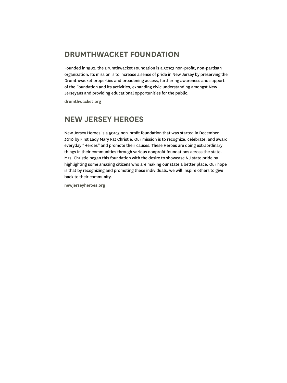### **Drumthwacket Foundation**

Founded in 1982, the Drumthwacket Foundation is a 501c3 non-profit, non-partisan organization. Its mission is to increase a sense of pride in New Jersey by preserving the Drumthwacket properties and broadening access, furthering awareness and support of the Foundation and its activities, expanding civic understanding amongst New Jerseyans and providing educational opportunities for the public.

**drumthwacket.org**

### **New Jersey Heroes**

New Jersey Heroes is a 501c3 non-profit foundation that was started in December 2010 by First Lady Mary Pat Christie. Our mission is to recognize, celebrate, and award everyday "Heroes" and promote their causes. These Heroes are doing extraordinary things in their communities through various nonprofit foundations across the state. Mrs. Christie began this foundation with the desire to showcase NJ state pride by highlighting some amazing citizens who are making our state a better place. Our hope is that by recognizing and promoting these individuals, we will inspire others to give back to their community.

**newjerseyheroes.org**